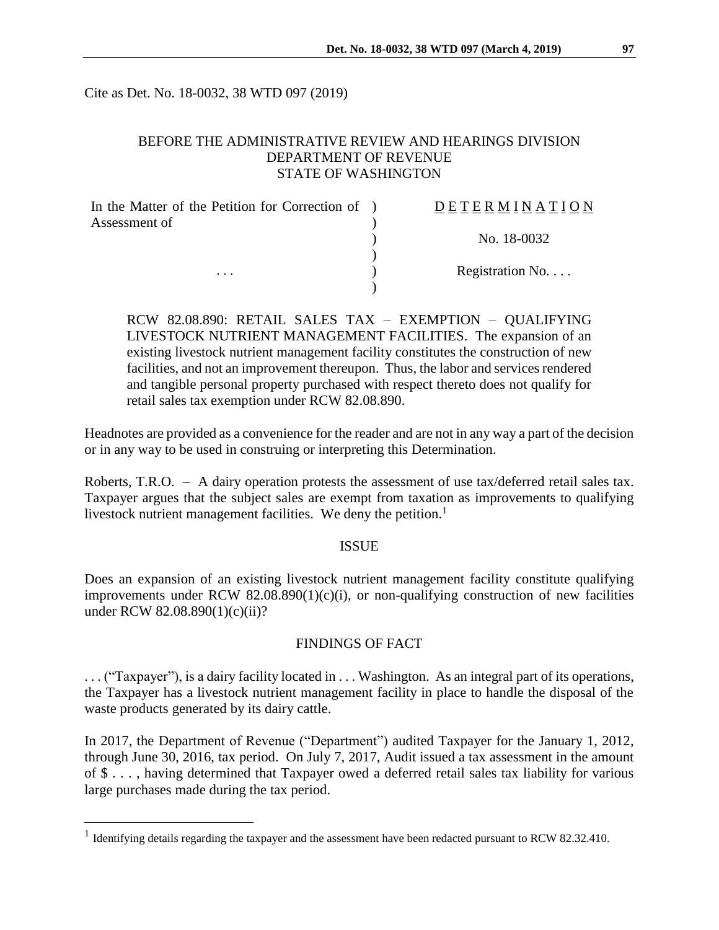Cite as Det. No. 18-0032, 38 WTD 097 (2019)

## BEFORE THE ADMINISTRATIVE REVIEW AND HEARINGS DIVISION DEPARTMENT OF REVENUE STATE OF WASHINGTON

| In the Matter of the Petition for Correction of ) | DETERMINATION   |
|---------------------------------------------------|-----------------|
| Assessment of                                     |                 |
|                                                   | No. 18-0032     |
|                                                   |                 |
| $\cdots$                                          | Registration No |
|                                                   |                 |

RCW 82.08.890: RETAIL SALES TAX – EXEMPTION – QUALIFYING LIVESTOCK NUTRIENT MANAGEMENT FACILITIES. The expansion of an existing livestock nutrient management facility constitutes the construction of new facilities, and not an improvement thereupon. Thus, the labor and services rendered and tangible personal property purchased with respect thereto does not qualify for retail sales tax exemption under RCW 82.08.890.

Headnotes are provided as a convenience for the reader and are not in any way a part of the decision or in any way to be used in construing or interpreting this Determination.

Roberts, T.R.O. – A dairy operation protests the assessment of use tax/deferred retail sales tax. Taxpayer argues that the subject sales are exempt from taxation as improvements to qualifying livestock nutrient management facilities. We deny the petition.<sup>1</sup>

#### ISSUE

Does an expansion of an existing livestock nutrient management facility constitute qualifying improvements under RCW  $82.08.890(1)(c)(i)$ , or non-qualifying construction of new facilities under RCW 82.08.890(1)(c)(ii)?

### FINDINGS OF FACT

. . . ("Taxpayer"), is a dairy facility located in . . . Washington. As an integral part of its operations, the Taxpayer has a livestock nutrient management facility in place to handle the disposal of the waste products generated by its dairy cattle.

In 2017, the Department of Revenue ("Department") audited Taxpayer for the January 1, 2012, through June 30, 2016, tax period. On July 7, 2017, Audit issued a tax assessment in the amount of \$ . . . , having determined that Taxpayer owed a deferred retail sales tax liability for various large purchases made during the tax period.

 $\overline{a}$ 

<sup>&</sup>lt;sup>1</sup> Identifying details regarding the taxpayer and the assessment have been redacted pursuant to RCW 82.32.410.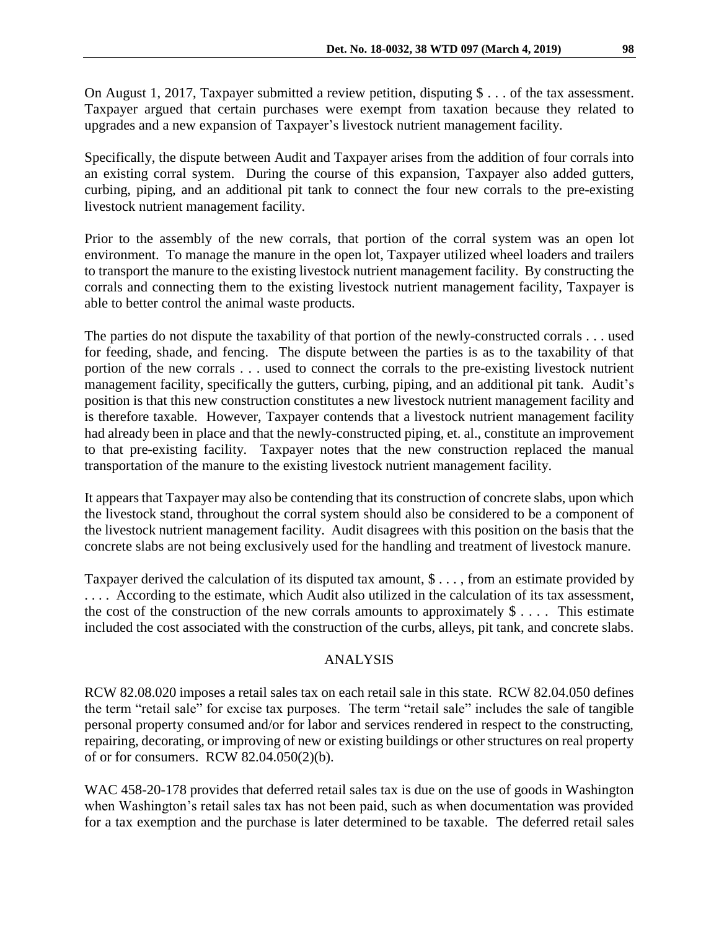On August 1, 2017, Taxpayer submitted a review petition, disputing \$ . . . of the tax assessment. Taxpayer argued that certain purchases were exempt from taxation because they related to upgrades and a new expansion of Taxpayer's livestock nutrient management facility.

Specifically, the dispute between Audit and Taxpayer arises from the addition of four corrals into an existing corral system. During the course of this expansion, Taxpayer also added gutters, curbing, piping, and an additional pit tank to connect the four new corrals to the pre-existing livestock nutrient management facility.

Prior to the assembly of the new corrals, that portion of the corral system was an open lot environment. To manage the manure in the open lot, Taxpayer utilized wheel loaders and trailers to transport the manure to the existing livestock nutrient management facility. By constructing the corrals and connecting them to the existing livestock nutrient management facility, Taxpayer is able to better control the animal waste products.

The parties do not dispute the taxability of that portion of the newly-constructed corrals . . . used for feeding, shade, and fencing. The dispute between the parties is as to the taxability of that portion of the new corrals . . . used to connect the corrals to the pre-existing livestock nutrient management facility, specifically the gutters, curbing, piping, and an additional pit tank. Audit's position is that this new construction constitutes a new livestock nutrient management facility and is therefore taxable. However, Taxpayer contends that a livestock nutrient management facility had already been in place and that the newly-constructed piping, et. al., constitute an improvement to that pre-existing facility. Taxpayer notes that the new construction replaced the manual transportation of the manure to the existing livestock nutrient management facility.

It appears that Taxpayer may also be contending that its construction of concrete slabs, upon which the livestock stand, throughout the corral system should also be considered to be a component of the livestock nutrient management facility. Audit disagrees with this position on the basis that the concrete slabs are not being exclusively used for the handling and treatment of livestock manure.

Taxpayer derived the calculation of its disputed tax amount, \$ . . . , from an estimate provided by . . . . According to the estimate, which Audit also utilized in the calculation of its tax assessment, the cost of the construction of the new corrals amounts to approximately  $\frac{1}{2}$ .... This estimate included the cost associated with the construction of the curbs, alleys, pit tank, and concrete slabs.

### ANALYSIS

RCW 82.08.020 imposes a retail sales tax on each retail sale in this state. RCW 82.04.050 defines the term "retail sale" for excise tax purposes. The term "retail sale" includes the sale of tangible personal property consumed and/or for labor and services rendered in respect to the constructing, repairing, decorating, or improving of new or existing buildings or other structures on real property of or for consumers. RCW 82.04.050(2)(b).

WAC 458-20-178 provides that deferred retail sales tax is due on the use of goods in Washington when Washington's retail sales tax has not been paid, such as when documentation was provided for a tax exemption and the purchase is later determined to be taxable. The deferred retail sales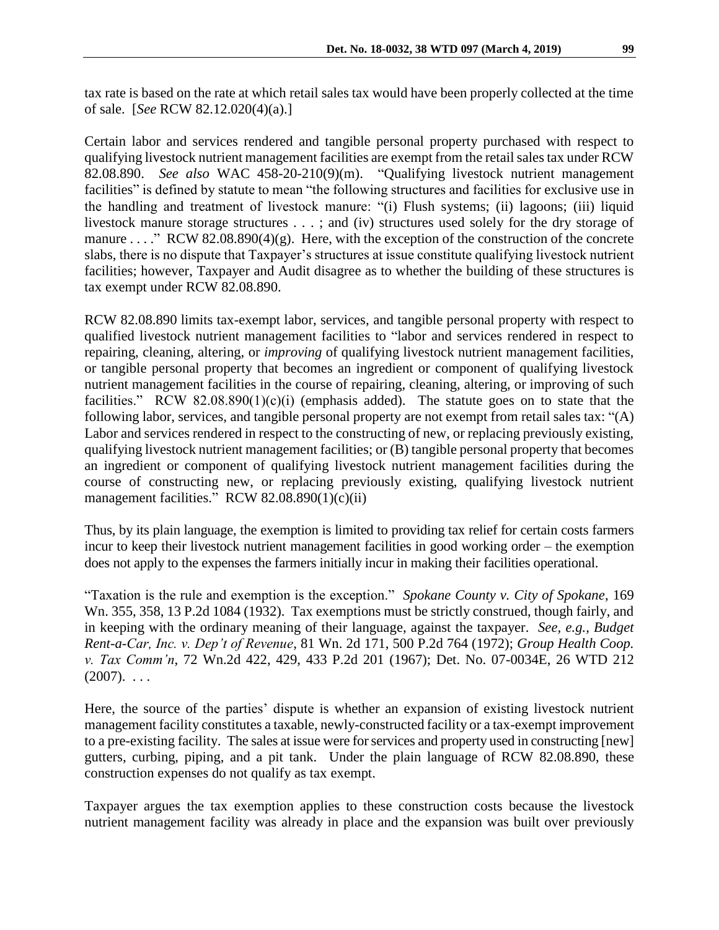tax rate is based on the rate at which retail sales tax would have been properly collected at the time of sale. [*See* RCW 82.12.020(4)(a).]

Certain labor and services rendered and tangible personal property purchased with respect to qualifying livestock nutrient management facilities are exempt from the retail sales tax under RCW 82.08.890. *See also* WAC 458-20-210(9)(m). "Qualifying livestock nutrient management facilities" is defined by statute to mean "the following structures and facilities for exclusive use in the handling and treatment of livestock manure: "(i) Flush systems; (ii) lagoons; (iii) liquid livestock manure storage structures . . . ; and (iv) structures used solely for the dry storage of manure . . . ." RCW 82.08.890(4)(g). Here, with the exception of the construction of the concrete slabs, there is no dispute that Taxpayer's structures at issue constitute qualifying livestock nutrient facilities; however, Taxpayer and Audit disagree as to whether the building of these structures is tax exempt under RCW 82.08.890.

RCW 82.08.890 limits tax-exempt labor, services, and tangible personal property with respect to qualified livestock nutrient management facilities to "labor and services rendered in respect to repairing, cleaning, altering, or *improving* of qualifying livestock nutrient management facilities, or tangible personal property that becomes an ingredient or component of qualifying livestock nutrient management facilities in the course of repairing, cleaning, altering, or improving of such facilities." RCW 82.08.890(1)(c)(i) (emphasis added). The statute goes on to state that the following labor, services, and tangible personal property are not exempt from retail sales tax: "(A) Labor and services rendered in respect to the constructing of new, or replacing previously existing, qualifying livestock nutrient management facilities; or (B) tangible personal property that becomes an ingredient or component of qualifying livestock nutrient management facilities during the course of constructing new, or replacing previously existing, qualifying livestock nutrient management facilities." RCW  $82.08.890(1)(c)(ii)$ 

Thus, by its plain language, the exemption is limited to providing tax relief for certain costs farmers incur to keep their livestock nutrient management facilities in good working order – the exemption does not apply to the expenses the farmers initially incur in making their facilities operational.

"Taxation is the rule and exemption is the exception." *Spokane County v. City of Spokane*, 169 Wn. 355, 358, 13 P.2d 1084 (1932). Tax exemptions must be strictly construed, though fairly, and in keeping with the ordinary meaning of their language, against the taxpayer. *See, e.g., Budget Rent-a-Car, Inc. v. Dep't of Revenue*, 81 Wn. 2d 171, 500 P.2d 764 (1972); *Group Health Coop. v. Tax Comm'n*, 72 Wn.2d 422, 429, 433 P.2d 201 (1967); Det. No. 07-0034E, 26 WTD 212  $(2007)$ . ...

Here, the source of the parties' dispute is whether an expansion of existing livestock nutrient management facility constitutes a taxable, newly-constructed facility or a tax-exempt improvement to a pre-existing facility. The sales at issue were for services and property used in constructing [new] gutters, curbing, piping, and a pit tank. Under the plain language of RCW 82.08.890, these construction expenses do not qualify as tax exempt.

Taxpayer argues the tax exemption applies to these construction costs because the livestock nutrient management facility was already in place and the expansion was built over previously